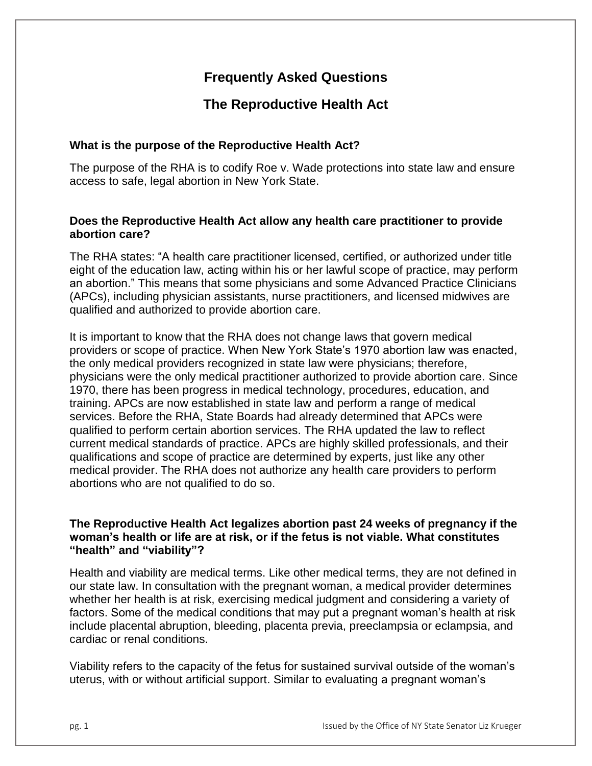# **Frequently Asked Questions**

# **The Reproductive Health Act**

# **What is the purpose of the Reproductive Health Act?**

The purpose of the RHA is to codify Roe v. Wade protections into state law and ensure access to safe, legal abortion in New York State.

# **Does the Reproductive Health Act allow any health care practitioner to provide abortion care?**

The RHA states: "A health care practitioner licensed, certified, or authorized under title eight of the education law, acting within his or her lawful scope of practice, may perform an abortion." This means that some physicians and some Advanced Practice Clinicians (APCs), including physician assistants, nurse practitioners, and licensed midwives are qualified and authorized to provide abortion care.

It is important to know that the RHA does not change laws that govern medical providers or scope of practice. When New York State's 1970 abortion law was enacted, the only medical providers recognized in state law were physicians; therefore, physicians were the only medical practitioner authorized to provide abortion care. Since 1970, there has been progress in medical technology, procedures, education, and training. APCs are now established in state law and perform a range of medical services. Before the RHA, State Boards had already determined that APCs were qualified to perform certain abortion services. The RHA updated the law to reflect current medical standards of practice. APCs are highly skilled professionals, and their qualifications and scope of practice are determined by experts, just like any other medical provider. The RHA does not authorize any health care providers to perform abortions who are not qualified to do so.

# **The Reproductive Health Act legalizes abortion past 24 weeks of pregnancy if the woman's health or life are at risk, or if the fetus is not viable. What constitutes "health" and "viability"?**

Health and viability are medical terms. Like other medical terms, they are not defined in our state law. In consultation with the pregnant woman, a medical provider determines whether her health is at risk, exercising medical judgment and considering a variety of factors. Some of the medical conditions that may put a pregnant woman's health at risk include placental abruption, bleeding, placenta previa, preeclampsia or eclampsia, and cardiac or renal conditions.

Viability refers to the capacity of the fetus for sustained survival outside of the woman's uterus, with or without artificial support. Similar to evaluating a pregnant woman's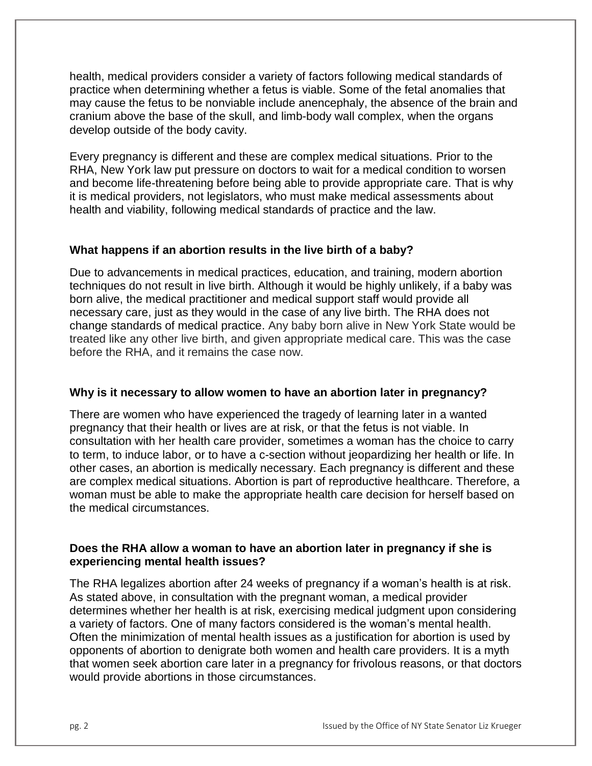health, medical providers consider a variety of factors following medical standards of practice when determining whether a fetus is viable. Some of the fetal anomalies that may cause the fetus to be nonviable include anencephaly, the absence of the brain and cranium above the base of the skull, and limb-body wall complex, when the organs develop outside of the body cavity.

Every pregnancy is different and these are complex medical situations. Prior to the RHA, New York law put pressure on doctors to wait for a medical condition to worsen and become life-threatening before being able to provide appropriate care. That is why it is medical providers, not legislators, who must make medical assessments about health and viability, following medical standards of practice and the law.

### **What happens if an abortion results in the live birth of a baby?**

Due to advancements in medical practices, education, and training, modern abortion techniques do not result in live birth. Although it would be highly unlikely, if a baby was born alive, the medical practitioner and medical support staff would provide all necessary care, just as they would in the case of any live birth. The RHA does not change standards of medical practice. Any baby born alive in New York State would be treated like any other live birth, and given appropriate medical care. This was the case before the RHA, and it remains the case now.

#### **Why is it necessary to allow women to have an abortion later in pregnancy?**

There are women who have experienced the tragedy of learning later in a wanted pregnancy that their health or lives are at risk, or that the fetus is not viable. In consultation with her health care provider, sometimes a woman has the choice to carry to term, to induce labor, or to have a c-section without jeopardizing her health or life. In other cases, an abortion is medically necessary. Each pregnancy is different and these are complex medical situations. Abortion is part of reproductive healthcare. Therefore, a woman must be able to make the appropriate health care decision for herself based on the medical circumstances.

# **Does the RHA allow a woman to have an abortion later in pregnancy if she is experiencing mental health issues?**

The RHA legalizes abortion after 24 weeks of pregnancy if a woman's health is at risk. As stated above, in consultation with the pregnant woman, a medical provider determines whether her health is at risk, exercising medical judgment upon considering a variety of factors. One of many factors considered is the woman's mental health. Often the minimization of mental health issues as a justification for abortion is used by opponents of abortion to denigrate both women and health care providers. It is a myth that women seek abortion care later in a pregnancy for frivolous reasons, or that doctors would provide abortions in those circumstances.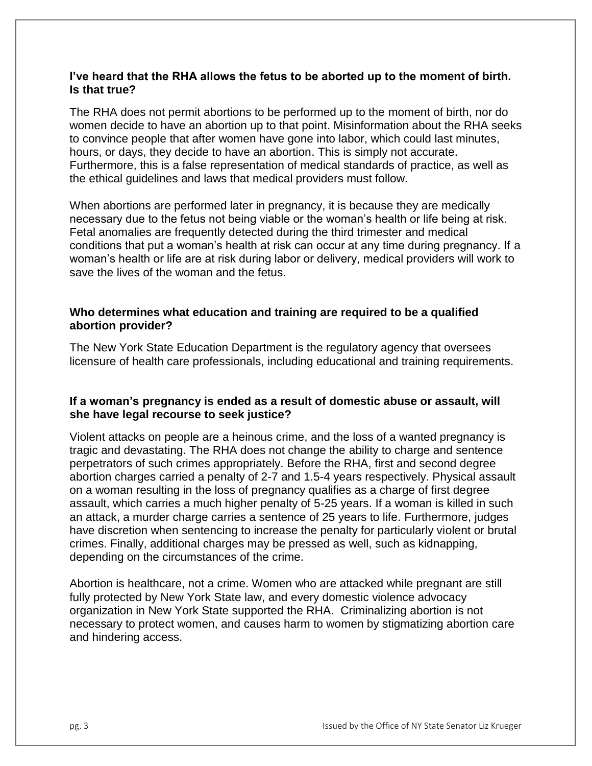#### **I've heard that the RHA allows the fetus to be aborted up to the moment of birth. Is that true?**

The RHA does not permit abortions to be performed up to the moment of birth, nor do women decide to have an abortion up to that point. Misinformation about the RHA seeks to convince people that after women have gone into labor, which could last minutes, hours, or days, they decide to have an abortion. This is simply not accurate. Furthermore, this is a false representation of medical standards of practice, as well as the ethical guidelines and laws that medical providers must follow.

When abortions are performed later in pregnancy, it is because they are medically necessary due to the fetus not being viable or the woman's health or life being at risk. Fetal anomalies are frequently detected during the third trimester and medical conditions that put a woman's health at risk can occur at any time during pregnancy. If a woman's health or life are at risk during labor or delivery, medical providers will work to save the lives of the woman and the fetus.

# **Who determines what education and training are required to be a qualified abortion provider?**

The New York State Education Department is the regulatory agency that oversees licensure of health care professionals, including educational and training requirements.

# **If a woman's pregnancy is ended as a result of domestic abuse or assault, will she have legal recourse to seek justice?**

Violent attacks on people are a heinous crime, and the loss of a wanted pregnancy is tragic and devastating. The RHA does not change the ability to charge and sentence perpetrators of such crimes appropriately. Before the RHA, first and second degree abortion charges carried a penalty of 2-7 and 1.5-4 years respectively. Physical assault on a woman resulting in the loss of pregnancy qualifies as a charge of first degree assault, which carries a much higher penalty of 5-25 years. If a woman is killed in such an attack, a murder charge carries a sentence of 25 years to life. Furthermore, judges have discretion when sentencing to increase the penalty for particularly violent or brutal crimes. Finally, additional charges may be pressed as well, such as kidnapping, depending on the circumstances of the crime.

Abortion is healthcare, not a crime. Women who are attacked while pregnant are still fully protected by New York State law, and every domestic violence advocacy organization in New York State supported the RHA. Criminalizing abortion is not necessary to protect women, and causes harm to women by stigmatizing abortion care and hindering access.